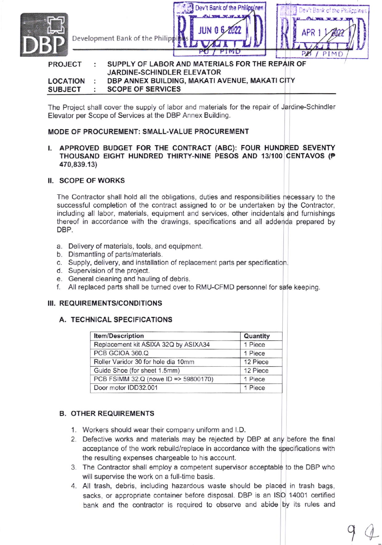

#### PROJECT : SUPPLY OF LABOR AND MATERIALS FOR THE REPAIR OF JARDINE.SCHINDLER ELEVATOR DBP ANNEX BUILDING, MAKATI AVENUE, MAKATI CITY LOCATION ÷ SCOPE OF SERVICES SUBJECT

The Project shall cover the supply of labor and materials for the repair of Jardine-Schindler Elevator per Scope of Services at the DBP Annex Building.

## MOOE OF PROCUREMENT: sMALL-VALUE PROCUREMENT

## l. APPROVED BUDGET FOR THE CONTRACT (ABC): FOUR HUNDRED SEVENTY THOUSAND EIGHT HUNDRED THIRTY-NINE PESOS AND 13/100 CENTAVOS (P 470,839.13)

### II. SCOPE OF WORKS

The Contractor shall hold all the obligations, duties and responsibilities necessary to the successful completion of the contract assigned to or be undertaken by the Contractor, including all labor, materials, equipment and services, other incidentals and furnishings thereof in accordance with the drawings, specifications and all addenda prepared by DBP.

- a. Delivery of materials, tools, and equipment.
- b. Dismantling of parts/materials.
- c. Supply, delivery, and installalion of replacement parts per specification.
- 
- d. Supervision of the project.<br>e. General cleaning and hauling of debris.
- f. All replaced parts shall be turned over to RMU-CFMD personnel for safe keeping.

# III. REQUIREMENTS/CONDITIONS

## A. TECHNICAL SPECIFICATIONS

| <b>Item/Description</b>              | Quantity |
|--------------------------------------|----------|
| Replacement kit ASIXA 32Q by ASIXA34 | 1 Piece  |
| PCB GCIOA 360.Q                      | 1 Piece  |
| Roller Varidor 30 for hole dia 10mm  | 12 Piece |
| Guide Shoe (for sheet 1.5mm)         | 12 Piece |
| PCB FSIMM 32.Q (nowe ID => 59800170) | 1 Piece  |
| Door motor IDD32.001                 | 1 Piece  |

# B. OTHER REOUIREMENTS

- 1. Workers should wear their company uniform and LD.
- 2. Defective works and materials may be rejected by DBP at any before the final acceptance of the work rebuild/replace in accordance with the specifications with the resulting expenses chargeable to his account.
- 3. The Contractor shall employ a competent supervisor acceptable to the DBP who will supervise the work on a full-time basis.
- 4. All trash, debris, including hazardous wasle should be placed in trash bags, sacks, or appropriate container before disposal. DBP is an ISO 14001 certified bank and the contractor is required to observe and abide by its rules and

 $\gamma$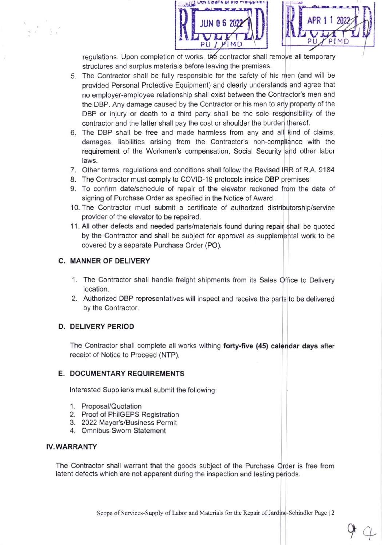



 $94$ 

regulations. Upon completion of works, the contractor shall remove all temporary structures and surplus materials before leaving the premises.

- 5. The Contractor shall be fully responsible for the safety of his men (and will be provided Personal Protective Equipment) and clearly understands and agree that no employer-employee relationship shall exist between the Contractor's men and the DBP. Any damage caused by the Contractor or his men to any property of the DBP or injury or death to a third party shall be the sole responsibility of the contractor and the latter shall pay the cost or shoulder the burden thereof.
- 6. The DBP shall be free and made harmless from any and all kind of claims, damages, liabilities arising from the Contractor's non-compliance with the requirement of the Workmen's compensation, Social Security and other labor laws.
- 7. Other terms, regulations and conditions shall follow the Revised IRR of R.A. 9184
- 8. The Contractor must comply to COVID-19 protocols inside DBP premises
- 9. To confirm date/schedule of repair of the elevator reckoned from the date of signing of Purchase Order as specified in the Notice of Award.
- 10. The Contractor must submit a certificate of authorized distributorship/service provider of the elevator to be repaired.
- 11. All other defects and needed parts/materials found during repair shall be quoted by the Contractor and shall be subject for approval as supplemental work to be covered by a separate Purchase Order (PO)

# C. MANNER OF DELIVERY

- 1. The Contractor shall handle freight shipments from its Sales Office to Delivery location.
- 2. Authorized DBP representatives will inspect and receive the parts to be delivered by the Contractor.

# D. DELIVERY PERIOD

The Contractor shall complete all works withing forty-five (45) calendar days after receipt of Notice to Proceed (NTP).

# E. DOCUMENTARY REOUIREMENTS

Interested Supplier/s must submit the following:

- '1. Proposal/Quotation
- 2. Proof of PhilGEPS Registration
- 3. 2022 Mayor's/Business Permit
- 4. Omnibus Sworn Statement

# IV.WARRANTY

The Contractor shall warrant that the goods subject of the Purchase Order is free from latent defects which are not apparent during the inspection and testing periods.

Scope of Services-Supply of Labor and Materials for the Repair of Jardine-Schindler Page | 2